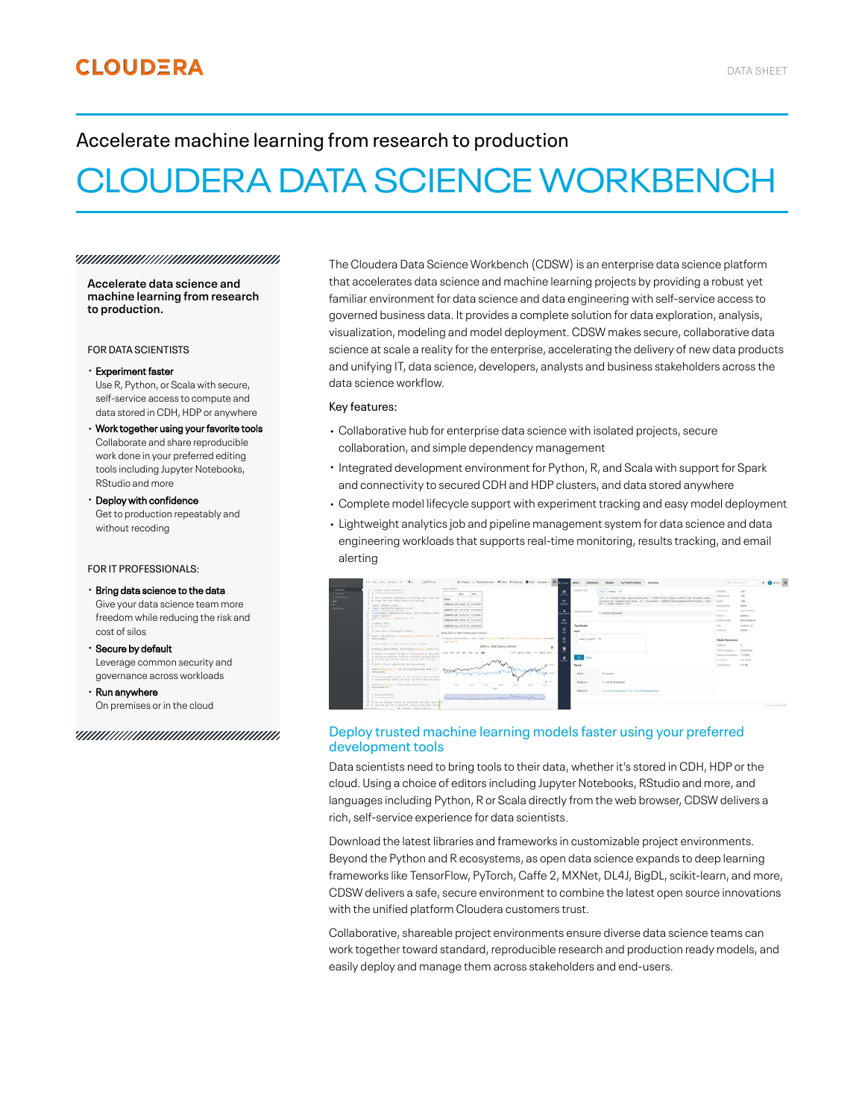## **CLOUDERA**

## Accelerate machine learning from research to production

# CLOUDERA DATA SCIENCE WORKBENCH

#### <u>TANAN ANAHAN MANAHAN MANASITRA MANASITRA MANASITRA MANASITRA MANASITRA MANASITRA MANASITRA MANASITRA MANASITRA M</u>

**Accelerate data science and machine learning from research to production.**

#### FOR DATA SCIENTISTS

### Experiment faster ·

Use R, Python, or Scala with secure, self-service access to compute and data stored in CDH, HDP or anywhere

Work together using your favorite tools · Collaborate and share reproducible work done in your preferred editing tools including Jupyter Notebooks, RStudio and more

Deploy with confidence · Get to production repeatably and without recoding

#### FOR IT PROFESSIONALS:

#### $\cdot \,$  Bring data science to the data Give your data science team more freedom while reducing the risk and cost of silos

 $\cdot$  Secure by default Leverage common security and governance across workloads

 $\cdot$  Run anywhere On premises or in the cloud

#### 

The Cloudera Data Science Workbench (CDSW) is an enterprise data science platform that accelerates data science and machine learning projects by providing a robust yet familiar environment for data science and data engineering with self-service access to governed business data. It provides a complete solution for data exploration, analysis, visualization, modeling and model deployment. CDSW makes secure, collaborative data science at scale a reality for the enterprise, accelerating the delivery of new data products and unifying IT, data science, developers, analysts and business stakeholders across the data science workflow.

#### Key features:

- Collaborative hub for enterprise data science with isolated projects, secure · collaboration, and simple dependency management
- Integrated development environment for Python, R, and Scala with support for Spark and connectivity to secured CDH and HDP clusters, and data stored anywhere
- Complete model lifecycle support with experiment tracking and easy model deployment ·
- $\bm{\cdot}$  Lightweight analytics job and pipeline management system for data science and data engineering workloads that supports real-time monitoring, results tracking, and email alerting

| A. A NAVEL POUR MOTATIVE                                                                                             | <b>STATE CONSULTS</b><br><b>Sandy Corp.</b><br>mar Library 14                                                                                                                                                                                                                     |                                                                                                                        |                            |                        |
|----------------------------------------------------------------------------------------------------------------------|-----------------------------------------------------------------------------------------------------------------------------------------------------------------------------------------------------------------------------------------------------------------------------------|------------------------------------------------------------------------------------------------------------------------|----------------------------|------------------------|
| the transfer of the company of the co-<br>ALCOHOL:<br><b><i>PRODUCT</i></b>                                          | <b>Add</b>                                                                                                                                                                                                                                                                        |                                                                                                                        | <b>SCALE II</b>            | $\sim$                 |
| A . I Will contacts buildered Automotive Well Land Inc.                                                              | the party of the control of the control of                                                                                                                                                                                                                                        | and in "Switch Saw application" pay 13 900 May 19 pays to be 14 and 15 years today                                     | Smith Artwood              |                        |
| it. It heads the first labor. Inducerrill, half-age.                                                                 | commentary and all the member<br>200m 61 44   21011 11   A TURNS                                                                                                                                                                                                                  | at other dark producers to work of "Cantastine", which is that below that househ-<br>and " of "smoot, Juneallo", ABST- | $1 - 1$                    | vas.                   |
| resource and production and spot-<br>4 result applicates applies your                                                |                                                                                                                                                                                                                                                                                   |                                                                                                                        | Detect speed dby           | and the                |
| 2. Hanniel explaintentials at that<br>22 Fred parties high-facts of taring tracts director like to                   | ٠<br><b>Suitable Streamers</b><br>the contract program and the con-<br>This and include information                                                                                                                                                                               |                                                                                                                        | <b>Summer</b>              | lotted testimate       |
| 11 - Hawri salahiyin<br>14 Captured Francis's Platteauth, No.                                                        | 2004 03-28 [ 20702 01 3 21000<br><b>STEPHEN SERVICE</b><br>to the state and construction of the con-                                                                                                                                                                              |                                                                                                                        | Aurus.                     | political in           |
| <b>SEC</b><br>14 T. W. Television Station                                                                            | better 41 de  anders un ( 6 Inchisco<br>to a contract to private discussion and the contract of                                                                                                                                                                                   |                                                                                                                        | <b>Brazilian Homes</b>     | <b>Box model</b>       |
| and a committee of<br><b>M. W. 1</b>                                                                                 | Tool House<br>\$500,000 \$1,000 \$1.00 \$1.00 \$1.00 \$1.00 \$1.00 \$1.00 \$1.00 \$1.00 \$1.00 \$1.00 \$1.00 \$1.00 \$1.00 \$1.00 \$1.00 \$1.00 \$1.00 \$1.00 \$1.00 \$1.00 \$1.00 \$1.00 \$1.00 \$1.00 \$1.00 \$1.00 \$1.00 \$1.00 \$1.00 \$1.00 \$1.00 \$1.00 \$1.00 \$1.00 \$1 |                                                                                                                        | $\sim$                     | arabilit as            |
| 17 I timed ment from mingles funnitur-                                                                               | Show 2:58 or show winted quarts resigned                                                                                                                                                                                                                                          |                                                                                                                        | <b>Supported</b>           | <b>SHARE</b>           |
| 20. Mora 1 AB-1936 2047 MAA100AP101<br>24 Technology                                                                 | A DTECHN APARTMENTAL CONTROL PARALLELLY CONTROLL and Senior Manual Antique Antiques<br>Weekl_Swigon*/ 18                                                                                                                                                                          |                                                                                                                        | <b>Shokel Resources</b>    |                        |
| 12 F. Etie 1013 (d. 2021 ) clicked gave a colored                                                                    | <b>VANDALISM</b>                                                                                                                                                                                                                                                                  |                                                                                                                        | <b>Service</b>             |                        |
| 12 Market courtesties, that has front - 1974-120                                                                     | 104 yrs. Debt Goery William                                                                                                                                                                                                                                                       |                                                                                                                        | City Var Assistant         | A 20 ATM A             |
| 22 I Mint II power relies to terranting of decreating                                                                | ÷<br>In Clevel Limits<br>how I lie 12, 2004                                                                                                                                                                                                                                       |                                                                                                                        | <b>Districts Par Rocks</b> | $1.36$ cm <sup>2</sup> |
| 21. K any group point by, forming a searing previous and but<br>10 If attends the boying scaling of the part is seen | <b>Science</b>                                                                                                                                                                                                                                                                    |                                                                                                                        | Tuesday.                   | a li atitta            |
| MAY STOP<br>20 F. Let's Tour compute the car'es and said.                                                            | <b>Total</b>                                                                                                                                                                                                                                                                      |                                                                                                                        | Total America              | 1116                   |
| 11. wood site, so at 1 ad Juli its associate anti- 10<br>22 - Hold A. Swedish                                        | 1.11<br><b>STATE</b><br>di accorso                                                                                                                                                                                                                                                |                                                                                                                        |                            |                        |
| 24. W-Atkins are want the cars 14 that countries within the about                                                    | 1.111                                                                                                                                                                                                                                                                             |                                                                                                                        |                            |                        |
| 22. A turningling posts, as line to strill dis mone a                                                                | $-10 - 10$<br><b>Reserves</b>                                                                                                                                                                                                                                                     | At we're thousands                                                                                                     |                            |                        |
| 10. Taking Carter States S. In days stress cannot can be a finally<br>20 USAA Penditors Committee                    | $\sim$<br><b>SECU</b><br><b>Security</b><br><b>STAR</b><br><b>HEAR</b><br>$-$<br>14.04                                                                                                                                                                                            |                                                                                                                        |                            |                        |
|                                                                                                                      | <b>Sheeting BC</b>                                                                                                                                                                                                                                                                | 2120 Janett availances: 003 130 (PhP006408 Attice)                                                                     |                            |                        |
| At I have not trained<br>at a resourcement                                                                           | <b>Controller Common Associates &amp; Associates and Com-</b>                                                                                                                                                                                                                     |                                                                                                                        |                            |                        |

#### Deploy trusted machine learning models faster using your preferred development tools

Data scientists need to bring tools to their data, whether it's stored in CDH, HDP or the cloud. Using a choice of editors including Jupyter Notebooks, RStudio and more, and languages including Python, R or Scala directly from the web browser, CDSW delivers a rich, self-service experience for data scientists.

Download the latest libraries and frameworks in customizable project environments. Beyond the Python and R ecosystems, as open data science expands to deep learning frameworks like TensorFlow, PyTorch, Caffe 2, MXNet, DL4J, BigDL, scikit-learn, and more, CDSW delivers a safe, secure environment to combine the latest open source innovations with the unified platform Cloudera customers trust.

Collaborative, shareable project environments ensure diverse data science teams can work together toward standard, reproducible research and production ready models, and easily deploy and manage them across stakeholders and end-users.